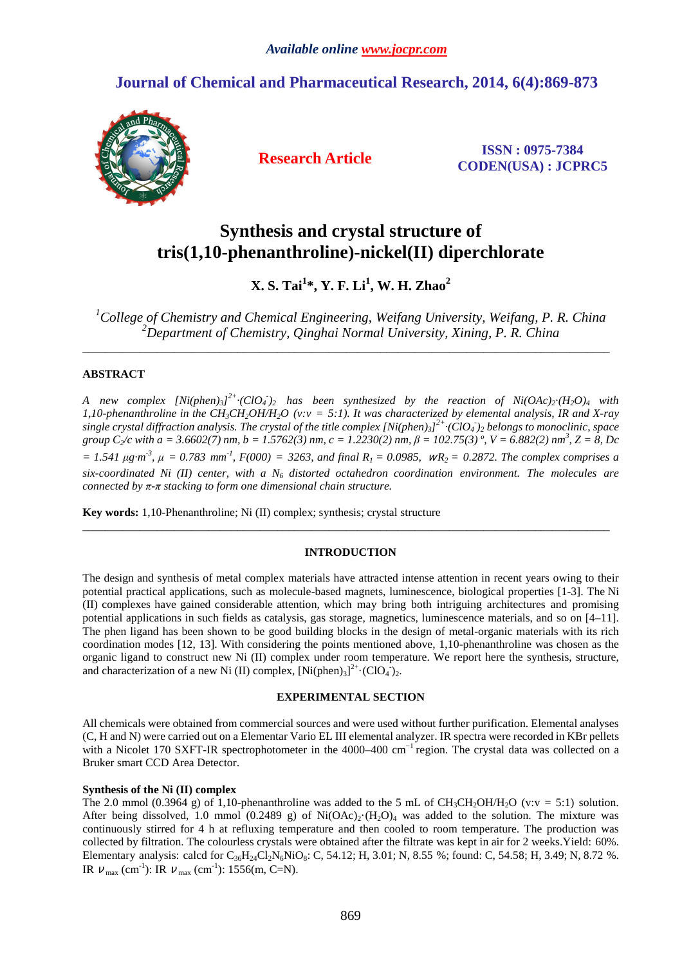## **Journal of Chemical and Pharmaceutical Research, 2014, 6(4):869-873**



**Research Article ISSN : 0975-7384 CODEN(USA) : JCPRC5**

# **Synthesis and crystal structure of tris(1,10-phenanthroline)-nickel(II) diperchlorate**

**X. S. Tai<sup>1</sup> \*, Y. F. Li<sup>1</sup> , W. H. Zhao<sup>2</sup>**

*<sup>1</sup>College of Chemistry and Chemical Engineering, Weifang University, Weifang, P. R. China <sup>2</sup>Department of Chemistry, Qinghai Normal University, Xining, P. R. China* 

\_\_\_\_\_\_\_\_\_\_\_\_\_\_\_\_\_\_\_\_\_\_\_\_\_\_\_\_\_\_\_\_\_\_\_\_\_\_\_\_\_\_\_\_\_\_\_\_\_\_\_\_\_\_\_\_\_\_\_\_\_\_\_\_\_\_\_\_\_\_\_\_\_\_\_\_\_\_\_\_\_\_\_\_\_\_\_\_\_\_\_\_

## **ABSTRACT**

*A* new complex  $[Ni(phen)_3]^{2+} \cdot (ClO_4)_2$  has been synthesized by the reaction of  $Ni(OAc)_2 \cdot (H_2O)_4$  with *1,10-phenanthroline in the CH3CH2OH/H2O (v:v = 5:1). It was characterized by elemental analysis, IR and X-ray single crystal diffraction analysis. The crystal of the title complex [Ni(phen)3] 2+·(ClO<sup>4</sup> - )2 belongs to monoclinic, space group C2/c with a = 3.6602(7) nm, b = 1.5762(3) nm, c = 1.2230(2) nm, β = 102.75(3) º, V = 6.882(2) nm<sup>3</sup> , Z = 8, Dc*   $= 1.541 \mu g \cdot m^3$ ,  $\mu = 0.783 \text{ mm}^1$ ,  $F(000) = 3263$ , and final  $R_1 = 0.0985$ ,  $WR_2 = 0.2872$ . The complex comprises a *six-coordinated Ni (II) center, with a N6 distorted octahedron coordination environment. The molecules are connected by π-π stacking to form one dimensional chain structure.*

**Key words:** 1,10-Phenanthroline; Ni (II) complex; synthesis; crystal structure

## **INTRODUCTION**

 $\overline{\phantom{a}}$  , and the set of the set of the set of the set of the set of the set of the set of the set of the set of the set of the set of the set of the set of the set of the set of the set of the set of the set of the s

The design and synthesis of metal complex materials have attracted intense attention in recent years owing to their potential practical applications, such as molecule-based magnets, luminescence, biological properties [1-3]. The Ni (II) complexes have gained considerable attention, which may bring both intriguing architectures and promising potential applications in such fields as catalysis, gas storage, magnetics, luminescence materials, and so on [4–11]. The phen ligand has been shown to be good building blocks in the design of metal-organic materials with its rich coordination modes [12, 13]. With considering the points mentioned above, 1,10-phenanthroline was chosen as the organic ligand to construct new Ni (II) complex under room temperature. We report here the synthesis, structure, and characterization of a new Ni (II) complex,  $[Ni(phen)_3]^{2+} \cdot (ClO_4)_{2}$ .

#### **EXPERIMENTAL SECTION**

All chemicals were obtained from commercial sources and were used without further purification. Elemental analyses (C, H and N) were carried out on a Elementar Vario EL III elemental analyzer. IR spectra were recorded in KBr pellets with a Nicolet 170 SXFT-IR spectrophotometer in the 4000–400 cm<sup>-1</sup> region. The crystal data was collected on a Bruker smart CCD Area Detector.

#### **Synthesis of the Ni (II) complex**

The 2.0 mmol (0.3964 g) of 1,10-phenanthroline was added to the 5 mL of CH<sub>3</sub>CH<sub>2</sub>OH/H<sub>2</sub>O (v:v = 5:1) solution. After being dissolved, 1.0 mmol (0.2489 g) of  $Ni(OAc)_2·(H_2O)_4$  was added to the solution. The mixture was continuously stirred for 4 h at refluxing temperature and then cooled to room temperature. The production was collected by filtration. The colourless crystals were obtained after the filtrate was kept in air for 2 weeks.Yield: 60%. Elementary analysis: calcd for  $C_{36}H_{24}Cl_2N_6NiO_8$ : C, 54.12; H, 3.01; N, 8.55 %; found: C, 54.58; H, 3.49; N, 8.72 %. IR  $V_{\text{max}}$  (cm<sup>-1</sup>): IR  $V_{\text{max}}$  (cm<sup>-1</sup>): 1556(m, C=N).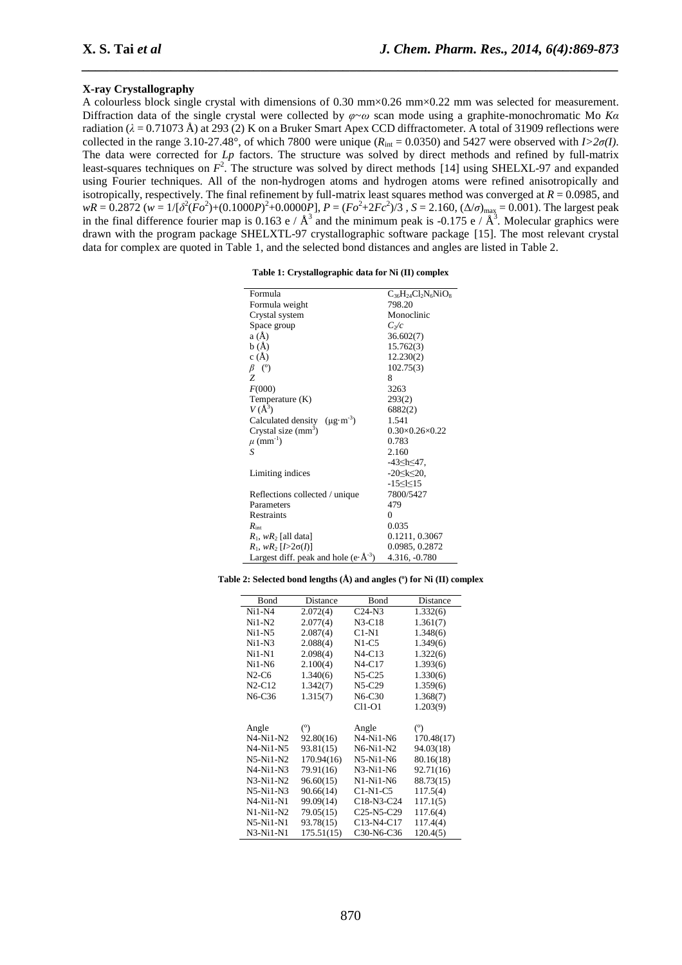#### **X-ray Crystallography**

A colourless block single crystal with dimensions of 0.30 mm×0.26 mm×0.22 mm was selected for measurement. Diffraction data of the single crystal were collected by *φ*~*ω* scan mode using a graphite-monochromatic Mo *Kα* radiation (*λ* = 0.71073 Å) at 293 (2) K on a Bruker Smart Apex CCD diffractometer. A total of 31909 reflections were collected in the range 3.10-27.48°, of which 7800 were unique ( $R_{int} = 0.0350$ ) and 5427 were observed with  $I > 2\sigma(I)$ . The data were corrected for *Lp* factors. The structure was solved by direct methods and refined by full-matrix least-squares techniques on  $F^2$ . The structure was solved by direct methods [14] using SHELXL-97 and expanded using Fourier techniques. All of the non-hydrogen atoms and hydrogen atoms were refined anisotropically and isotropically, respectively. The final refinement by full-matrix least squares method was converged at *R* = 0.0985, and  $wR = 0.2872$  ( $w = 1/[{\delta^2(Fo^2)+(0.1000P)^2+0.0000P}]}$ ,  $P = (Fo^2+2Fc^2)/3$ ,  $S = 2.160$ ,  $(\Delta/\sigma)_{\text{max}} = 0.001$ ). The largest peak in the final difference fourier map is 0.163 e /  $\AA^3$  and the minimum peak is -0.175 e /  $\AA^3$ . Molecular graphics were drawn with the program package SHELXTL-97 crystallographic software package [15]. The most relevant crystal data for complex are quoted in Table 1, and the selected bond distances and angles are listed in Table 2.

*\_\_\_\_\_\_\_\_\_\_\_\_\_\_\_\_\_\_\_\_\_\_\_\_\_\_\_\_\_\_\_\_\_\_\_\_\_\_\_\_\_\_\_\_\_\_\_\_\_\_\_\_\_\_\_\_\_\_\_\_\_\_\_\_\_\_\_\_\_\_\_\_\_\_\_\_\_\_*

| Table 1: Crystallographic data for Ni (II) complex |  |  |
|----------------------------------------------------|--|--|
|----------------------------------------------------|--|--|

| Formula                                                  | $C_{36}H_{24}Cl_2N_6NiO_8$ |
|----------------------------------------------------------|----------------------------|
| Formula weight                                           | 798.20                     |
| Crystal system                                           | Monoclinic                 |
| Space group                                              | $C_2/c$                    |
| a(A)                                                     | 36.602(7)                  |
| b(A)                                                     | 15.762(3)                  |
| c(A)                                                     | 12.230(2)                  |
| $\beta$ (°)                                              | 102.75(3)                  |
| Z                                                        | 8                          |
| F(000)                                                   | 3263                       |
| Temperature (K)                                          | 293(2)                     |
| $V(A^3)$                                                 | 6882(2)                    |
| Calculated density $(\mu g \cdot m^{-3})$                | 1.541                      |
| Crystal size $(mm3)$                                     | $0.30\times0.26\times0.22$ |
| $\mu$ (mm <sup>-1</sup> )                                | 0.783                      |
| S                                                        | 2.160                      |
|                                                          | -43≤h≤47,                  |
| Limiting indices                                         | $-20 \le k \le 20$ ,       |
|                                                          | $-15 \leq k \leq 15$       |
| Reflections collected / unique                           | 7800/5427                  |
| Parameters                                               | 479                        |
| Restraints                                               | $\theta$                   |
| $R_{\text{int}}$                                         | 0.035                      |
| $R_1$ , w $R_2$ [all data]                               | 0.1211, 0.3067             |
| 0.0985, 0.2872<br>$R_1, wR_2$ [ $>2\sigma(I)$ ]          |                            |
| Largest diff. peak and hole (e $\cdot$ Å <sup>-3</sup> ) | 4.316, -0.780              |

**Table 2: Selected bond lengths (Å) and angles (º) for Ni (II) complex** 

| Bond        | Distance   | Bond                                             | Distance   |
|-------------|------------|--------------------------------------------------|------------|
| $Ni1-N4$    | 2.072(4)   | $C24-N3$                                         | 1.332(6)   |
| $Ni1-N2$    | 2.077(4)   | $N3-C18$                                         | 1.361(7)   |
| $Ni1-N5$    | 2.087(4)   | C1-N1                                            | 1.348(6)   |
| $Ni1-N3$    | 2.088(4)   | N1-C5                                            | 1.349(6)   |
| $Ni1-N1$    | 2.098(4)   | $N4-C13$                                         | 1.322(6)   |
| $Ni1-N6$    | 2.100(4)   | $N4-C17$                                         | 1.393(6)   |
| N2-C6       | 1.340(6)   | $N5-C25$                                         | 1.330(6)   |
| $N2-C12$    | 1.342(7)   | $N5-C29$                                         | 1.359(6)   |
| N6-C36      | 1.315(7)   | N6-C30                                           | 1.368(7)   |
|             |            | C11-O1                                           | 1.203(9)   |
|             |            |                                                  |            |
| Angle       | (°)        | Angle                                            | (°)        |
| $N4-Ni1-N2$ | 92.80(16)  | N4-Ni1-N6                                        | 170.48(17) |
| N4-Ni1-N5   | 93.81(15)  | N6-Ni1-N2                                        | 94.03(18)  |
| $N5-Ni1-N2$ | 170.94(16) | N5-Ni1-N6                                        | 80.16(18)  |
| N4-Ni1-N3   | 79.91(16)  | N3-Ni1-N6                                        | 92.71(16)  |
| N3-Ni1-N2   | 96.60(15)  | N1-Ni1-N6                                        | 88.73(15)  |
| N5-Ni1-N3   | 90.66(14)  | C1-N1-C5                                         | 117.5(4)   |
| N4-Ni1-N1   | 99.09(14)  | C <sub>18</sub> -N <sub>3</sub> -C <sub>24</sub> | 117.1(5)   |
| N1-Ni1-N2   | 79.05(15)  | C <sub>25</sub> -N <sub>5</sub> -C <sub>29</sub> | 117.6(4)   |
| N5-Ni1-N1   | 93.78(15)  | C13-N4-C17                                       | 117.4(4)   |
| N3-Ni1-N1   | 175.51(15) | C30-N6-C36                                       | 120.4(5)   |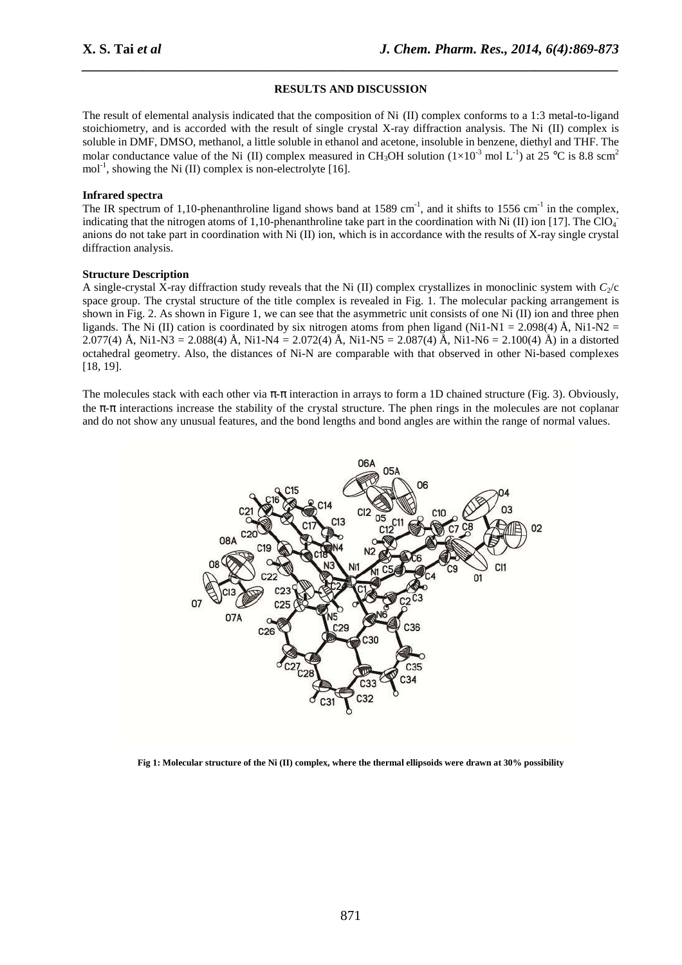#### **RESULTS AND DISCUSSION**

*\_\_\_\_\_\_\_\_\_\_\_\_\_\_\_\_\_\_\_\_\_\_\_\_\_\_\_\_\_\_\_\_\_\_\_\_\_\_\_\_\_\_\_\_\_\_\_\_\_\_\_\_\_\_\_\_\_\_\_\_\_\_\_\_\_\_\_\_\_\_\_\_\_\_\_\_\_\_*

The result of elemental analysis indicated that the composition of Ni (II) complex conforms to a 1:3 metal-to-ligand stoichiometry, and is accorded with the result of single crystal X-ray diffraction analysis. The Ni (II) complex is soluble in DMF, DMSO, methanol, a little soluble in ethanol and acetone, insoluble in benzene, diethyl and THF. The molar conductance value of the Ni (II) complex measured in CH<sub>3</sub>OH solution ( $1\times10^{-3}$  mol L<sup>-1</sup>) at 25 °C is 8.8 scm<sup>2</sup> mol<sup>-1</sup>, showing the Ni (II) complex is non-electrolyte [16].

#### **Infrared spectra**

The IR spectrum of 1,10-phenanthroline ligand shows band at 1589 cm<sup>-1</sup>, and it shifts to 1556 cm<sup>-1</sup> in the complex, indicating that the nitrogen atoms of 1,10-phenanthroline take part in the coordination with Ni (II) ion [17]. The ClO<sub>4</sub> anions do not take part in coordination with Ni (II) ion, which is in accordance with the results of X-ray single crystal diffraction analysis.

#### **Structure Description**

A single-crystal X-ray diffraction study reveals that the Ni (II) complex crystallizes in monoclinic system with  $C_2/c$ space group. The crystal structure of the title complex is revealed in Fig. 1. The molecular packing arrangement is shown in Fig. 2. As shown in Figure 1, we can see that the asymmetric unit consists of one Ni (II) ion and three phen ligands. The Ni (II) cation is coordinated by six nitrogen atoms from phen ligand (Ni1-N1 = 2.098(4) Å, Ni1-N2 = 2.077(4) Å, Ni1-N3 = 2.088(4) Å, Ni1-N4 = 2.072(4) Å, Ni1-N5 = 2.087(4) Å, Ni1-N6 = 2.100(4) Å) in a distorted octahedral geometry. Also, the distances of Ni-N are comparable with that observed in other Ni-based complexes [18, 19].

The molecules stack with each other via  $\pi$ - $\pi$  interaction in arrays to form a 1D chained structure (Fig. 3). Obviously, the  $\pi$ -π interactions increase the stability of the crystal structure. The phen rings in the molecules are not coplanar and do not show any unusual features, and the bond lengths and bond angles are within the range of normal values.



**Fig 1: Molecular structure of the Ni (II) complex, where the thermal ellipsoids were drawn at 30% possibility**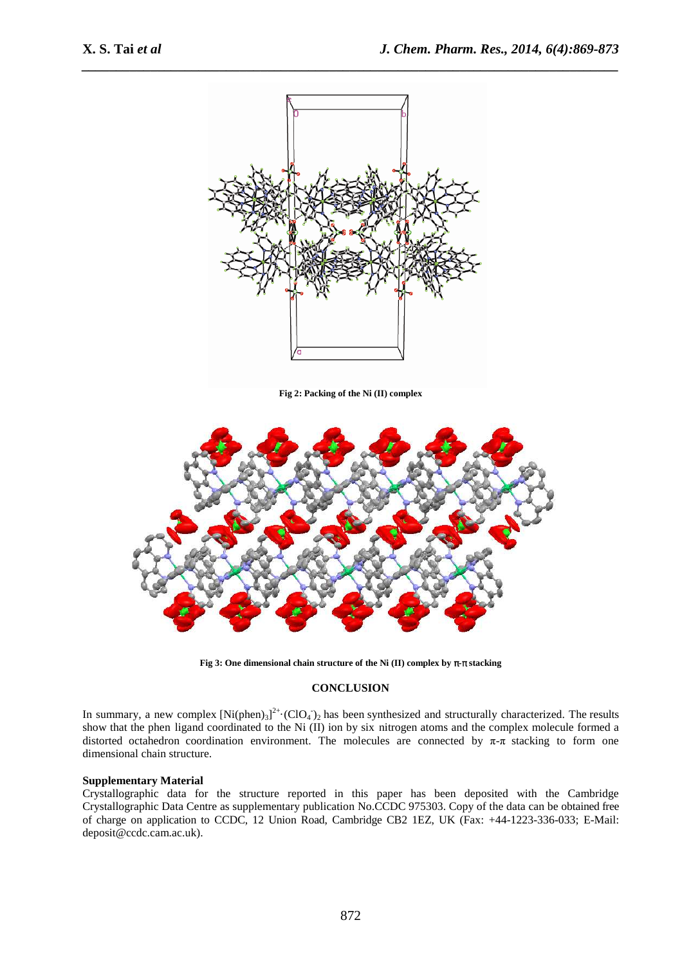

*\_\_\_\_\_\_\_\_\_\_\_\_\_\_\_\_\_\_\_\_\_\_\_\_\_\_\_\_\_\_\_\_\_\_\_\_\_\_\_\_\_\_\_\_\_\_\_\_\_\_\_\_\_\_\_\_\_\_\_\_\_\_\_\_\_\_\_\_\_\_\_\_\_\_\_\_\_\_*

**Fig 2: Packing of the Ni (II) complex** 



**Fig 3: One dimensional chain structure of the Ni (II) complex by** π**-**π **stacking** 

#### **CONCLUSION**

In summary, a new complex  $[Ni(phen)_3]^{2+} \cdot (ClO_4)_2$  has been synthesized and structurally characterized. The results show that the phen ligand coordinated to the Ni (II) ion by six nitrogen atoms and the complex molecule formed a distorted octahedron coordination environment. The molecules are connected by  $\pi$ - $\pi$  stacking to form one dimensional chain structure.

#### **Supplementary Material**

Crystallographic data for the structure reported in this paper has been deposited with the Cambridge Crystallographic Data Centre as supplementary publication No.CCDC 975303. Copy of the data can be obtained free of charge on application to CCDC, 12 Union Road, Cambridge CB2 1EZ, UK (Fax: +44-1223-336-033; E-Mail: deposit@ccdc.cam.ac.uk).